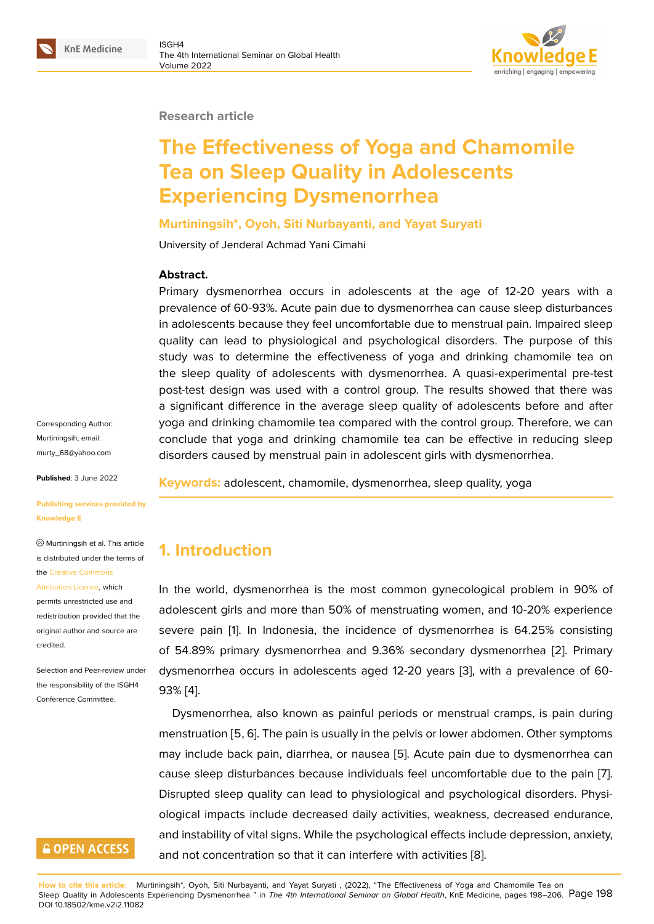#### **Research article**

# **The Effectiveness of Yoga and Chamomile Tea on Sleep Quality in Adolescents Experiencing Dysmenorrhea**

#### **Murtiningsih\*, Oyoh, Siti Nurbayanti, and Yayat Suryati**

University of Jenderal Achmad Yani Cimahi

#### **Abstract.**

Primary dysmenorrhea occurs in adolescents at the age of 12-20 years with a prevalence of 60-93%. Acute pain due to dysmenorrhea can cause sleep disturbances in adolescents because they feel uncomfortable due to menstrual pain. Impaired sleep quality can lead to physiological and psychological disorders. The purpose of this study was to determine the effectiveness of yoga and drinking chamomile tea on the sleep quality of adolescents with dysmenorrhea. A quasi-experimental pre-test post-test design was used with a control group. The results showed that there was a significant difference in the average sleep quality of adolescents before and after yoga and drinking chamomile tea compared with the control group. Therefore, we can conclude that yoga and drinking chamomile tea can be effective in reducing sleep disorders caused by menstrual pain in adolescent girls with dysmenorrhea.

Corresponding Author: Murtiningsih; email: murty\_68@yahoo.com

**Published**: 3 June 2022

#### **[Publishing services pr](mailto:murty_68@yahoo.com)ovided by Knowledge E**

Murtiningsih et al. This article is distributed under the terms of the Creative Commons

#### Attribution License, which

permits unrestricted use and redistribution provided that the orig[inal author and sou](https://creativecommons.org/licenses/by/4.0/)rce are [credited.](https://creativecommons.org/licenses/by/4.0/)

Selection and Peer-review under the responsibility of the ISGH4 Conference Committee.

## **GOPEN ACCESS**

**Keywords:** adolescent, chamomile, dysmenorrhea, sleep quality, yoga

### **1. Introduction**

In the world, dysmenorrhea is the most common gynecological problem in 90% of adolescent girls and more than 50% of menstruating women, and 10-20% experience severe pain [1]. In Indonesia, the incidence of dysmenorrhea is 64.25% consisting of 54.89% primary dysmenorrhea and 9.36% secondary dysmenorrhea [2]. Primary dysmenorrhea occurs in adolescents aged 12-20 years [3], with a prevalence of 60- 93% [4].

Dysmenorrhea, also known as painful periods or menstrual cramps, is [pa](#page-7-0)in during menstruation [5, 6]. The pain is usually in the pelvis or low[er](#page-7-1) abdomen. Other symptoms may i[n](#page-7-2)clude back pain, diarrhea, or nausea [5]. Acute pain due to dysmenorrhea can cause sleep disturbances because individuals feel uncomfortable due to the pain [7]. Disrupted sleep quality can lead to physiological and psychological disorders. Physiological impacts include decreased daily ac[tiv](#page-7-3)ities, weakness, decreased endurance, and instability of vital signs. While the psychological effects include depression, anxi[ety](#page-7-4), and not concentration so that it can interfere with activities [8].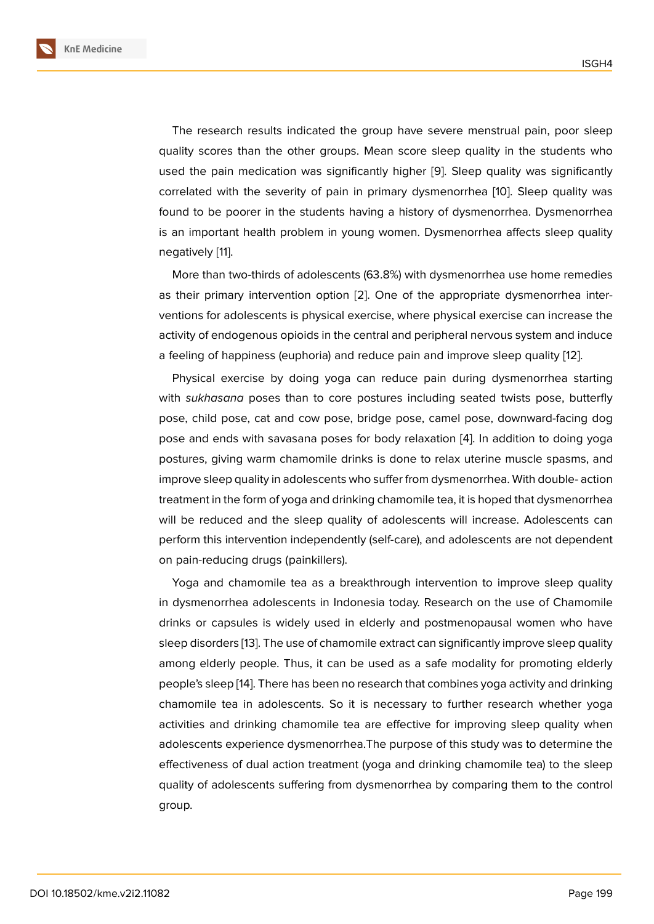The research results indicated the group have severe menstrual pain, poor sleep quality scores than the other groups. Mean score sleep quality in the students who used the pain medication was significantly higher [9]. Sleep quality was significantly correlated with the severity of pain in primary dysmenorrhea [10]. Sleep quality was found to be poorer in the students having a history of dysmenorrhea. Dysmenorrhea is an important health problem in young women. D[ys](#page-7-5)menorrhea affects sleep quality negatively [11].

More than two-thirds of adolescents (63.8%) with dysmenorrhea use home remedies as their primary intervention option [2]. One of the appropriate dysmenorrhea interventions fo[r a](#page-7-6)dolescents is physical exercise, where physical exercise can increase the activity of endogenous opioids in the central and peripheral nervous system and induce a feeling of happiness (euphoria) and [re](#page-7-0)duce pain and improve sleep quality [12].

Physical exercise by doing yoga can reduce pain during dysmenorrhea starting with *sukhasana* poses than to core postures including seated twists pose, butterfly pose, child pose, cat and cow pose, bridge pose, camel pose, downward-fa[cin](#page-7-7)g dog pose and ends with savasana poses for body relaxation [4]. In addition to doing yoga postures, giving warm chamomile drinks is done to relax uterine muscle spasms, and improve sleep quality in adolescents who suffer from dysmenorrhea. With double- action treatment in the form of yoga and drinking chamomile tea, i[t i](#page-7-2)s hoped that dysmenorrhea will be reduced and the sleep quality of adolescents will increase. Adolescents can perform this intervention independently (self-care), and adolescents are not dependent on pain-reducing drugs (painkillers).

Yoga and chamomile tea as a breakthrough intervention to improve sleep quality in dysmenorrhea adolescents in Indonesia today. Research on the use of Chamomile drinks or capsules is widely used in elderly and postmenopausal women who have sleep disorders [13]. The use of chamomile extract can significantly improve sleep quality among elderly people. Thus, it can be used as a safe modality for promoting elderly people's sleep [14]. There has been no research that combines yoga activity and drinking chamomile tea [in](#page-8-0) adolescents. So it is necessary to further research whether yoga activities and drinking chamomile tea are effective for improving sleep quality when adolescents ex[pe](#page-8-1)rience dysmenorrhea.The purpose of this study was to determine the effectiveness of dual action treatment (yoga and drinking chamomile tea) to the sleep quality of adolescents suffering from dysmenorrhea by comparing them to the control group.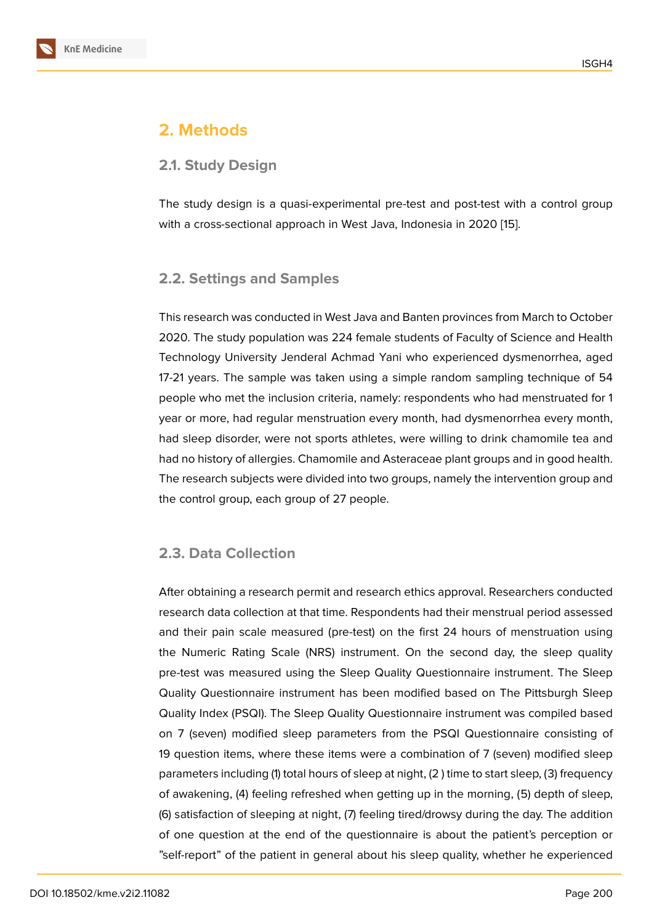# **2. Methods**

#### **2.1. Study Design**

The study design is a quasi-experimental pre-test and post-test with a control group with a cross-sectional approach in West Java, Indonesia in 2020 [15].

#### **2.2. Settings and Samples**

This research was conducted in West Java and Banten provinces from March to October 2020. The study population was 224 female students of Faculty of Science and Health Technology University Jenderal Achmad Yani who experienced dysmenorrhea, aged 17-21 years. The sample was taken using a simple random sampling technique of 54 people who met the inclusion criteria, namely: respondents who had menstruated for 1 year or more, had regular menstruation every month, had dysmenorrhea every month, had sleep disorder, were not sports athletes, were willing to drink chamomile tea and had no history of allergies. Chamomile and Asteraceae plant groups and in good health. The research subjects were divided into two groups, namely the intervention group and the control group, each group of 27 people.

### **2.3. Data Collection**

After obtaining a research permit and research ethics approval. Researchers conducted research data collection at that time. Respondents had their menstrual period assessed and their pain scale measured (pre-test) on the first 24 hours of menstruation using the Numeric Rating Scale (NRS) instrument. On the second day, the sleep quality pre-test was measured using the Sleep Quality Questionnaire instrument. The Sleep Quality Questionnaire instrument has been modified based on The Pittsburgh Sleep Quality Index (PSQI). The Sleep Quality Questionnaire instrument was compiled based on 7 (seven) modified sleep parameters from the PSQI Questionnaire consisting of 19 question items, where these items were a combination of 7 (seven) modified sleep parameters including (1) total hours of sleep at night, (2 ) time to start sleep, (3) frequency of awakening, (4) feeling refreshed when getting up in the morning, (5) depth of sleep, (6) satisfaction of sleeping at night, (7) feeling tired/drowsy during the day. The addition of one question at the end of the questionnaire is about the patient's perception or "self-report" of the patient in general about his sleep quality, whether he experienced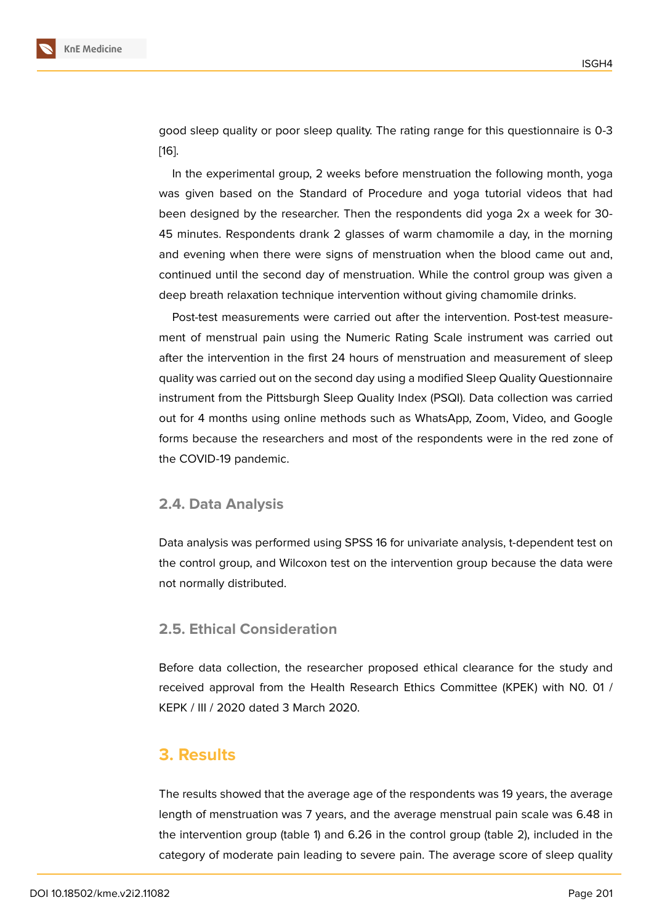good sleep quality or poor sleep quality. The rating range for this questionnaire is 0-3 [16].

In the experimental group, 2 weeks before menstruation the following month, yoga was given based on the Standard of Procedure and yoga tutorial videos that had [bee](#page-8-2)n designed by the researcher. Then the respondents did yoga 2x a week for 30- 45 minutes. Respondents drank 2 glasses of warm chamomile a day, in the morning and evening when there were signs of menstruation when the blood came out and, continued until the second day of menstruation. While the control group was given a deep breath relaxation technique intervention without giving chamomile drinks.

Post-test measurements were carried out after the intervention. Post-test measurement of menstrual pain using the Numeric Rating Scale instrument was carried out after the intervention in the first 24 hours of menstruation and measurement of sleep quality was carried out on the second day using a modified Sleep Quality Questionnaire instrument from the Pittsburgh Sleep Quality Index (PSQI). Data collection was carried out for 4 months using online methods such as WhatsApp, Zoom, Video, and Google forms because the researchers and most of the respondents were in the red zone of the COVID-19 pandemic.

#### **2.4. Data Analysis**

Data analysis was performed using SPSS 16 for univariate analysis, t-dependent test on the control group, and Wilcoxon test on the intervention group because the data were not normally distributed.

#### **2.5. Ethical Consideration**

Before data collection, the researcher proposed ethical clearance for the study and received approval from the Health Research Ethics Committee (KPEK) with N0. 01 / KEPK / III / 2020 dated 3 March 2020.

#### **3. Results**

The results showed that the average age of the respondents was 19 years, the average length of menstruation was 7 years, and the average menstrual pain scale was 6.48 in the intervention group (table 1) and 6.26 in the control group (table 2), included in the category of moderate pain leading to severe pain. The average score of sleep quality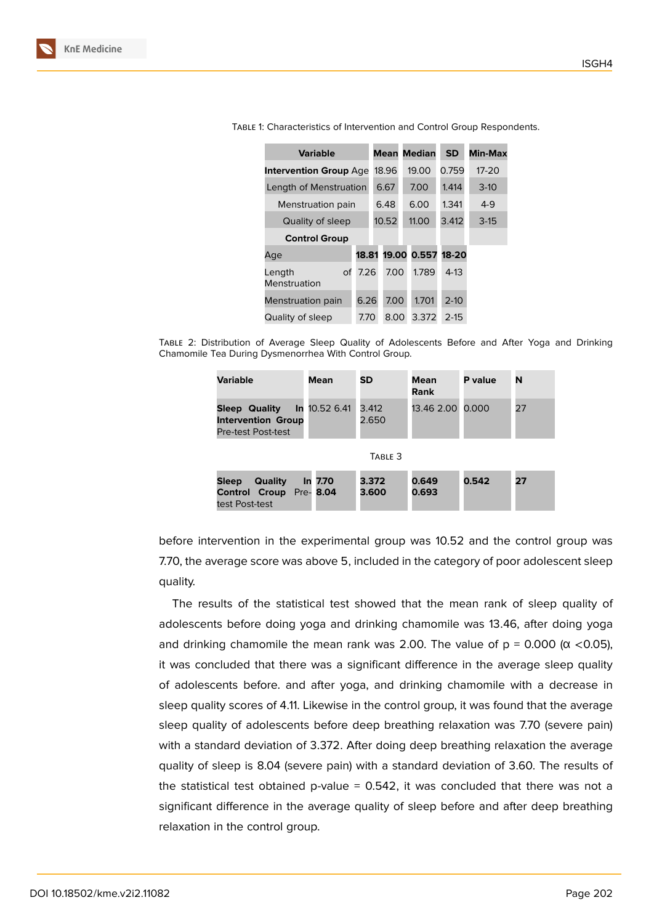| <b>Variable</b>               |       |       |  | <b>Mean Median</b> | SD.      | <b>Min-Max</b> |
|-------------------------------|-------|-------|--|--------------------|----------|----------------|
| <b>Intervention Group Age</b> |       | 18.96 |  | 19.00              | 0.759    | $17 - 20$      |
| Length of Menstruation        |       | 6.67  |  | 7.00               | 1.414    | $3-10$         |
| Menstruation pain             |       | 6.48  |  | 6.00               | 1.341    | $4-9$          |
| Quality of sleep              |       | 10.52 |  | 11.00              | 3.412    | $3-15$         |
| <b>Control Group</b>          |       |       |  |                    |          |                |
| Age                           | 18.81 |       |  | 19.00 0.557        | 18-20    |                |
| Length<br>Οf<br>Menstruation  | 7.26  | 7.00  |  | 1.789              | $4-13$   |                |
| Menstruation pain             | 6.26  | 7.00  |  | 1.701              | $2 - 10$ |                |
| Quality of sleep              | 7.70  | 8.00  |  | 3.372              | $2 - 15$ |                |

Table 1: Characteristics of Intervention and Control Group Respondents.

Table 2: Distribution of Average Sleep Quality of Adolescents Before and After Yoga and Drinking Chamomile Tea During Dysmenorrhea With Control Group.

| Variable                                                                | Mean                 | <b>SD</b>      | Mean<br><b>Rank</b> | P value | N  |  |  |  |  |
|-------------------------------------------------------------------------|----------------------|----------------|---------------------|---------|----|--|--|--|--|
| <b>Sleep Quality</b><br><b>Intervention Group</b><br>Pre-test Post-test | In 10.52 6.41        | 3.412<br>2.650 | 13.46 2.00 0.000    |         | 27 |  |  |  |  |
| TABLE 3                                                                 |                      |                |                     |         |    |  |  |  |  |
| Quality<br>Sleep<br><b>Control Croup</b><br>test Post-test              | In 7.70<br>Pre- 8.04 | 3.372<br>3.600 | 0.649<br>0.693      | 0.542   | 27 |  |  |  |  |

before intervention in the experimental group was 10.52 and the control group was 7.70, the average score was above 5, included in the category of poor adolescent sleep quality.

The results of the statistical test showed that the mean rank of sleep quality of adolescents before doing yoga and drinking chamomile was 13.46, after doing yoga and drinking chamomile the mean rank was 2.00. The value of  $p = 0.000$  ( $\alpha$  <0.05), it was concluded that there was a significant difference in the average sleep quality of adolescents before. and after yoga, and drinking chamomile with a decrease in sleep quality scores of 4.11. Likewise in the control group, it was found that the average sleep quality of adolescents before deep breathing relaxation was 7.70 (severe pain) with a standard deviation of 3.372. After doing deep breathing relaxation the average quality of sleep is 8.04 (severe pain) with a standard deviation of 3.60. The results of the statistical test obtained p-value =  $0.542$ , it was concluded that there was not a significant difference in the average quality of sleep before and after deep breathing relaxation in the control group.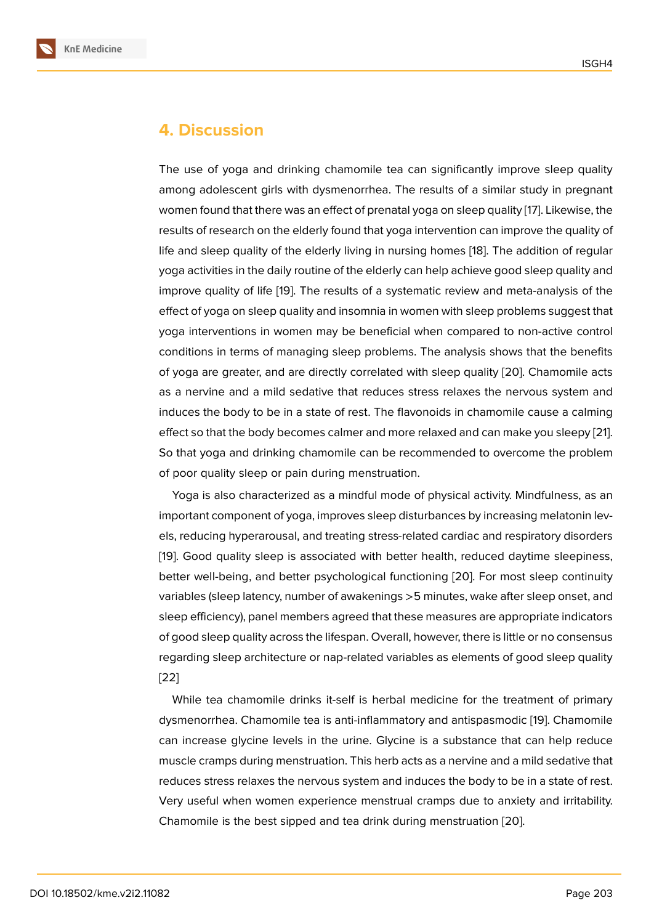### **4. Discussion**

The use of yoga and drinking chamomile tea can significantly improve sleep quality among adolescent girls with dysmenorrhea. The results of a similar study in pregnant women found that there was an effect of prenatal yoga on sleep quality [17]. Likewise, the results of research on the elderly found that yoga intervention can improve the quality of life and sleep quality of the elderly living in nursing homes [18]. The addition of regular yoga activities in the daily routine of the elderly can help achieve good [sle](#page-8-3)ep quality and improve quality of life [19]. The results of a systematic review and meta-analysis of the effect of yoga on sleep quality and insomnia in women with s[lee](#page-8-4)p problems suggest that yoga interventions in women may be beneficial when compared to non-active control conditions in terms of [ma](#page-8-5)naging sleep problems. The analysis shows that the benefits of yoga are greater, and are directly correlated with sleep quality [20]. Chamomile acts as a nervine and a mild sedative that reduces stress relaxes the nervous system and induces the body to be in a state of rest. The flavonoids in chamomile cause a calming effect so that the body becomes calmer and more relaxed and can [mak](#page-8-6)e you sleepy [21]. So that yoga and drinking chamomile can be recommended to overcome the problem of poor quality sleep or pain during menstruation.

Yoga is also characterized as a mindful mode of physical activity. Mindfulness, a[s an](#page-8-7) important component of yoga, improves sleep disturbances by increasing melatonin levels, reducing hyperarousal, and treating stress-related cardiac and respiratory disorders [19]. Good quality sleep is associated with better health, reduced daytime sleepiness, better well-being, and better psychological functioning [20]. For most sleep continuity variables (sleep latency, number of awakenings >5 minutes, wake after sleep onset, and [sle](#page-8-5)ep efficiency), panel members agreed that these measures are appropriate indicators of good sleep quality across the lifespan. Overall, howeve[r, th](#page-8-6)ere is little or no consensus regarding sleep architecture or nap-related variables as elements of good sleep quality [22]

While tea chamomile drinks it-self is herbal medicine for the treatment of primary dysmenorrhea. Chamomile tea is anti-inflammatory and antispasmodic [19]. Chamomile [can](#page-8-8) increase glycine levels in the urine. Glycine is a substance that can help reduce muscle cramps during menstruation. This herb acts as a nervine and a mild sedative that reduces stress relaxes the nervous system and induces the body to be i[n a](#page-8-5) state of rest. Very useful when women experience menstrual cramps due to anxiety and irritability. Chamomile is the best sipped and tea drink during menstruation [20].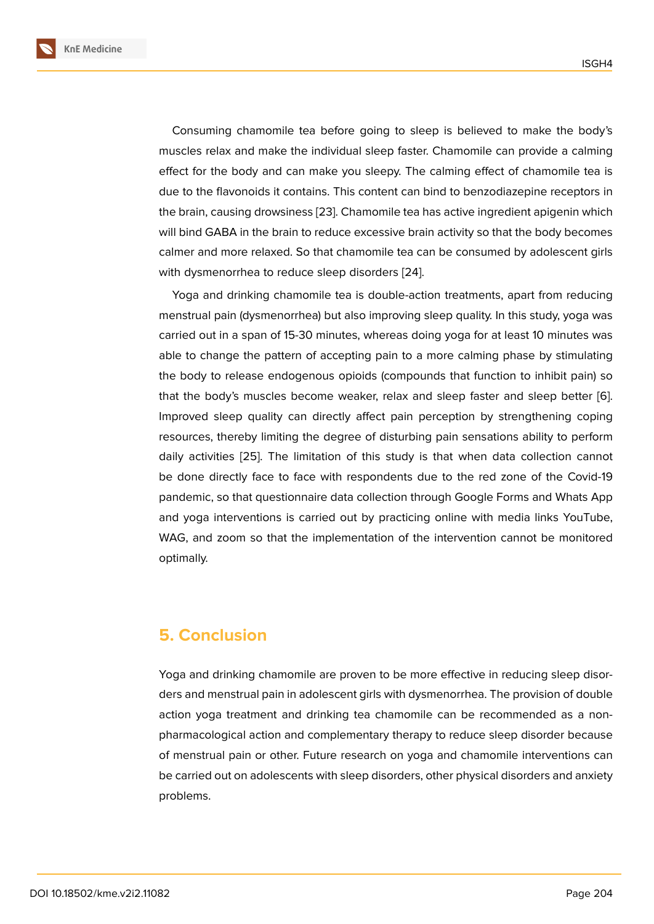Consuming chamomile tea before going to sleep is believed to make the body's muscles relax and make the individual sleep faster. Chamomile can provide a calming effect for the body and can make you sleepy. The calming effect of chamomile tea is due to the flavonoids it contains. This content can bind to benzodiazepine receptors in the brain, causing drowsiness [23]. Chamomile tea has active ingredient apigenin which will bind GABA in the brain to reduce excessive brain activity so that the body becomes calmer and more relaxed. So that chamomile tea can be consumed by adolescent girls with dysmenorrhea to reduce [slee](#page-8-9)p disorders [24].

Yoga and drinking chamomile tea is double-action treatments, apart from reducing menstrual pain (dysmenorrhea) but also improving sleep quality. In this study, yoga was carried out in a span of 15-30 minutes, wherea[s d](#page-8-10)oing yoga for at least 10 minutes was able to change the pattern of accepting pain to a more calming phase by stimulating the body to release endogenous opioids (compounds that function to inhibit pain) so that the body's muscles become weaker, relax and sleep faster and sleep better [6]. Improved sleep quality can directly affect pain perception by strengthening coping resources, thereby limiting the degree of disturbing pain sensations ability to perform daily activities [25]. The limitation of this study is that when data collection can[no](#page-7-8)t be done directly face to face with respondents due to the red zone of the Covid-19 pandemic, so that questionnaire data collection through Google Forms and Whats App and yoga inter[vent](#page-8-11)ions is carried out by practicing online with media links YouTube, WAG, and zoom so that the implementation of the intervention cannot be monitored optimally.

### **5. Conclusion**

Yoga and drinking chamomile are proven to be more effective in reducing sleep disorders and menstrual pain in adolescent girls with dysmenorrhea. The provision of double action yoga treatment and drinking tea chamomile can be recommended as a nonpharmacological action and complementary therapy to reduce sleep disorder because of menstrual pain or other. Future research on yoga and chamomile interventions can be carried out on adolescents with sleep disorders, other physical disorders and anxiety problems.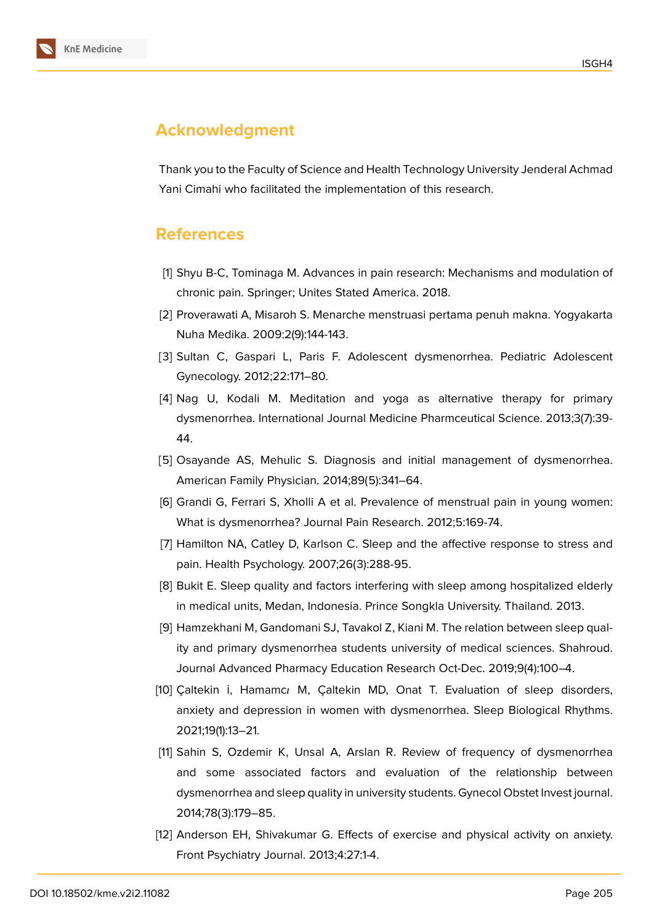# **Acknowledgment**

Thank you to the Faculty of Science and Health Technology University Jenderal Achmad Yani Cimahi who facilitated the implementation of this research.

### **References**

- [1] Shyu B-C, Tominaga M. Advances in pain research: Mechanisms and modulation of chronic pain. Springer; Unites Stated America. 2018.
- <span id="page-7-0"></span>[2] Proverawati A, Misaroh S. Menarche menstruasi pertama penuh makna. Yogyakarta Nuha Medika. 2009:2(9):144-143.
- <span id="page-7-1"></span>[3] Sultan C, Gaspari L, Paris F. Adolescent dysmenorrhea. Pediatric Adolescent Gynecology. 2012;22:171–80.
- <span id="page-7-2"></span>[4] Nag U, Kodali M. Meditation and yoga as alternative therapy for primary dysmenorrhea. International Journal Medicine Pharmceutical Science. 2013;3(7):39- 44.
- <span id="page-7-3"></span>[5] Osayande AS, Mehulic S. Diagnosis and initial management of dysmenorrhea. American Family Physician. 2014;89(5):341–64.
- <span id="page-7-8"></span>[6] Grandi G, Ferrari S, Xholli A et al. Prevalence of menstrual pain in young women: What is dysmenorrhea? Journal Pain Research. 2012;5:169-74.
- <span id="page-7-4"></span>[7] Hamilton NA, Catley D, Karlson C. Sleep and the affective response to stress and pain. Health Psychology. 2007;26(3):288-95.
- [8] Bukit E. Sleep quality and factors interfering with sleep among hospitalized elderly in medical units, Medan, Indonesia. Prince Songkla University. Thailand. 2013.
- <span id="page-7-5"></span>[9] Hamzekhani M, Gandomani SJ, Tavakol Z, Kiani M. The relation between sleep quality and primary dysmenorrhea students university of medical sciences. Shahroud. Journal Advanced Pharmacy Education Research Oct-Dec. 2019;9(4):100–4.
- [10] Caltekin i, Hamamcı M, Caltekin MD, Onat T. Evaluation of sleep disorders, anxiety and depression in women with dysmenorrhea. Sleep Biological Rhythms. 2021;19(1):13–21.
- <span id="page-7-6"></span>[11] Sahin S, Ozdemir K, Unsal A, Arslan R. Review of frequency of dysmenorrhea and some associated factors and evaluation of the relationship between dysmenorrhea and sleep quality in university students. Gynecol Obstet Invest journal. 2014;78(3):179–85.
- <span id="page-7-7"></span>[12] Anderson EH, Shivakumar G. Effects of exercise and physical activity on anxiety. Front Psychiatry Journal. 2013;4:27:1-4.